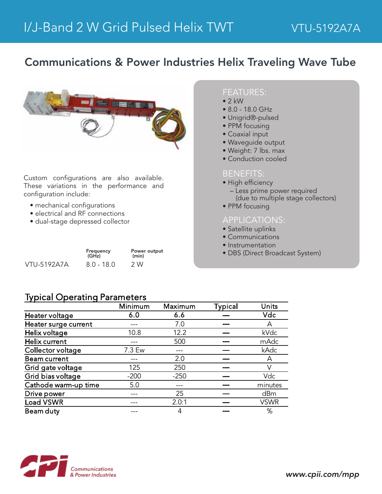## Communications & Power Industries Helix Traveling Wave Tube



Custom configurations are also available. These variations in the performance and configuration include:

- mechanical configurations
- electrical and RF connections
- dual-stage depressed collector

|                    | Frequency<br>(GHz) | Power output<br>(min) |  |
|--------------------|--------------------|-----------------------|--|
| <b>VTU-5192A7A</b> | $8.0 - 18.0$       | 2 W                   |  |

#### FEATURES:

- $\bullet$  2 kW
- 8.0 18.0 GHz
- Unigrid®-pulsed
- PPM focusing
- Coaxial input
- Waveguide output
- Weight: 7 lbs. max
- Conduction cooled

#### BENEFITS:

- High efficiency
	- Less prime power required (due to multiple stage collectors)
- PPM focusing

#### APPLICATIONS:

- Satellite uplinks
- Communications
- Instrumentation
- DBS (Direct Broadcast System)

### Typical Operating Parameters

|                      | Minimum | Maximum | <b>Typical</b> | Units       |
|----------------------|---------|---------|----------------|-------------|
| Heater voltage       | 6.0     | 6.6     |                | Vdc         |
| Heater surge current |         | 7.0     |                | Α           |
| Helix voltage        | 10.8    | 12.2    |                | kVdc        |
| Helix current        |         | 500     |                | mAdc        |
| Collector voltage    | 7.3 Ew  |         |                | kAdc        |
| <b>Beam current</b>  |         | 2.0     |                | A           |
| Grid gate voltage    | 125     | 250     |                |             |
| Grid bias voltage    | $-200$  | $-250$  |                | Vdc         |
| Cathode warm-up time | 5.0     |         |                | minutes     |
| Drive power          |         | 25      |                | dBm         |
| <b>Load VSWR</b>     |         | 2.0:1   |                | <b>VSWR</b> |
| Beam duty            |         | 4       |                | %           |